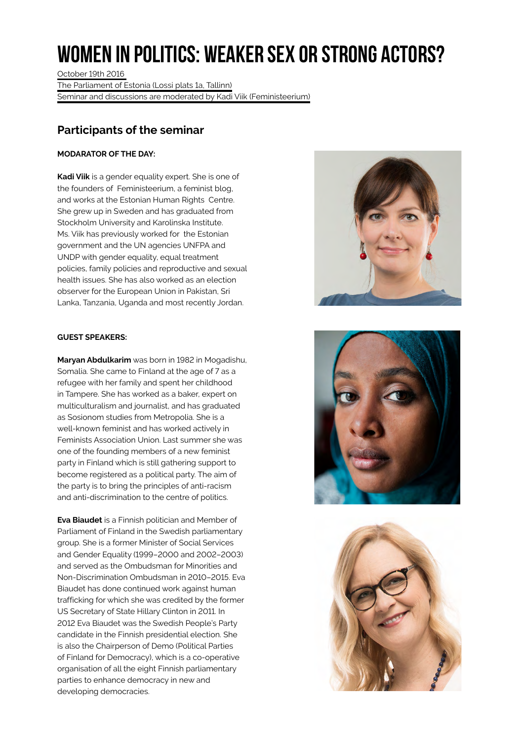## **Women in politics: weaker sex or strong actors?**

October 19th 2016 The Parliament of Estonia (Lossi plats 1a, Tallinn) Seminar and discussions are moderated by Kadi Viik (Feministeerium)

## **Participants of the seminar**

## **MODARATOR OF THE DAY:**

**Kadi Viik** is a gender equality expert. She is one of the founders of Feministeerium, a feminist blog, and works at the Estonian Human Rights Centre. She grew up in Sweden and has graduated from Stockholm University and Karolinska Institute. Ms. Viik has previously worked for the Estonian government and the UN agencies UNFPA and UNDP with gender equality, equal treatment policies, family policies and reproductive and sexual health issues. She has also worked as an election observer for the European Union in Pakistan, Sri Lanka, Tanzania, Uganda and most recently Jordan.

## **GUEST SPEAKERS:**

**Maryan Abdulkarim** was born in 1982 in Mogadishu, Somalia. She came to Finland at the age of 7 as a refugee with her family and spent her childhood in Tampere. She has worked as a baker, expert on multiculturalism and journalist, and has graduated as Sosionom studies from Metropolia. She is a well-known feminist and has worked actively in Feminists Association Union. Last summer she was one of the founding members of a new feminist party in Finland which is still gathering support to become registered as a political party. The aim of the party is to bring the principles of anti-racism and anti-discrimination to the centre of politics.

**Eva Biaudet** is a Finnish politician and Member of Parliament of Finland in the Swedish parliamentary group. She is a former Minister of Social Services and Gender Equality (1999–2000 and 2002–2003) and served as the Ombudsman for Minorities and Non-Discrimination Ombudsman in 2010–2015. Eva Biaudet has done continued work against human trafficking for which she was credited by the former US Secretary of State Hillary Clinton in 2011. In 2012 Eva Biaudet was the Swedish People's Party candidate in the Finnish presidential election. She is also the Chairperson of Demo (Political Parties of Finland for Democracy), which is a co-operative organisation of all the eight Finnish parliamentary parties to enhance democracy in new and developing democracies.





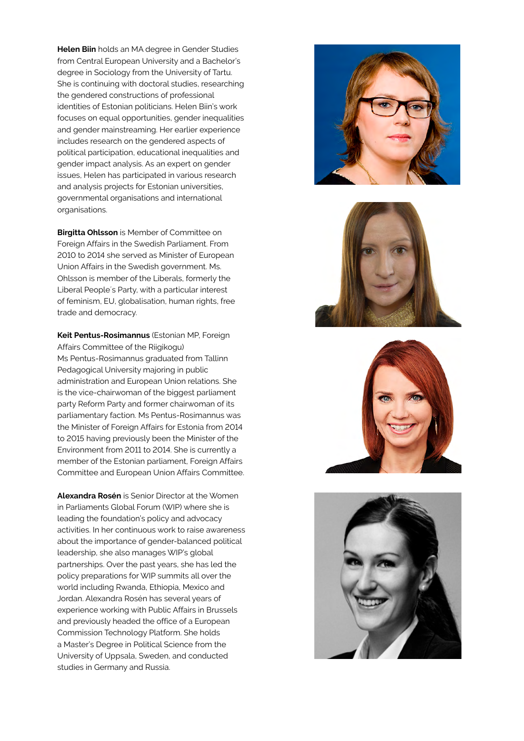**Helen Biin** holds an MA degree in Gender Studies from Central European University and a Bachelor's degree in Sociology from the University of Tartu. She is continuing with doctoral studies, researching the gendered constructions of professional identities of Estonian politicians. Helen Biin's work focuses on equal opportunities, gender inequalities and gender mainstreaming. Her earlier experience includes research on the gendered aspects of political participation, educational inequalities and gender impact analysis. As an expert on gender issues, Helen has participated in various research and analysis projects for Estonian universities, governmental organisations and international organisations.

**Birgitta Ohlsson** is Member of Committee on Foreign Affairs in the Swedish Parliament. From 2010 to 2014 she served as Minister of European Union Affairs in the Swedish government. Ms. Ohlsson is member of the Liberals, formerly the Liberal People´s Party, with a particular interest of feminism, EU, globalisation, human rights, free trade and democracy.

**Keit Pentus-Rosimannus** (Estonian MP, Foreign Affairs Committee of the Riigikogu) Ms Pentus-Rosimannus graduated from Tallinn Pedagogical University majoring in public administration and European Union relations. She is the vice-chairwoman of the biggest parliament party Reform Party and former chairwoman of its parliamentary faction. Ms Pentus-Rosimannus was the Minister of Foreign Affairs for Estonia from 2014 to 2015 having previously been the Minister of the Environment from 2011 to 2014. She is currently a member of the Estonian parliament, Foreign Affairs Committee and European Union Affairs Committee.

**Alexandra Rosén** is Senior Director at the Women in Parliaments Global Forum (WIP) where she is leading the foundation's policy and advocacy activities. In her continuous work to raise awareness about the importance of gender-balanced political leadership, she also manages WIP's global partnerships. Over the past years, she has led the policy preparations for WIP summits all over the world including Rwanda, Ethiopia, Mexico and Jordan. Alexandra Rosén has several years of experience working with Public Affairs in Brussels and previously headed the office of a European Commission Technology Platform. She holds a Master's Degree in Political Science from the University of Uppsala, Sweden, and conducted studies in Germany and Russia.